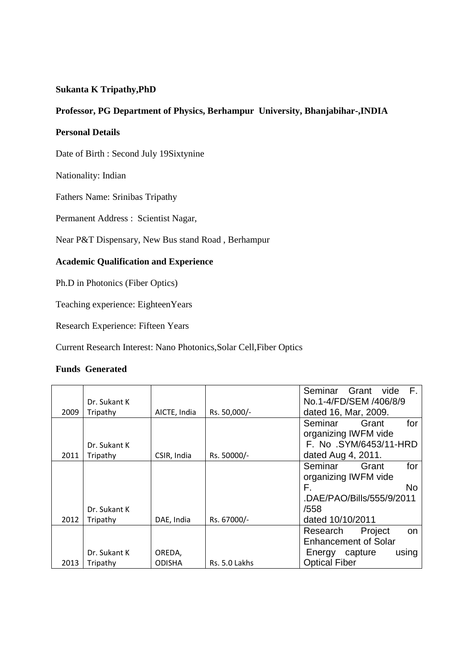# **Sukanta K Tripathy,PhD**

# **Professor, PG Department of Physics, Berhampur University, Bhanjabihar-,INDIA**

#### **Personal Details**

Date of Birth : Second July 19Sixtynine

Nationality: Indian

Fathers Name: Srinibas Tripathy

Permanent Address : Scientist Nagar,

Near P&T Dispensary, New Bus stand Road , Berhampur

# **Academic Qualification and Experience**

Ph.D in Photonics (Fiber Optics)

Teaching experience: EighteenYears

Research Experience: Fifteen Years

Current Research Interest: Nano Photonics,Solar Cell,Fiber Optics

#### **Funds Generated**

|      | Dr. Sukant K |               |               | Grant<br>Seminar<br>vide F.<br>No.1-4/FD/SEM /406/8/9 |
|------|--------------|---------------|---------------|-------------------------------------------------------|
| 2009 | Tripathy     | AICTE, India  | Rs. 50,000/-  | dated 16, Mar, 2009.                                  |
|      |              |               |               | Seminar<br>Grant<br>for                               |
|      |              |               |               | organizing IWFM vide                                  |
|      | Dr. Sukant K |               |               | F. No .SYM/6453/11-HRD                                |
| 2011 | Tripathy     | CSIR, India   | Rs. 50000/-   | dated Aug 4, 2011.                                    |
|      |              |               |               | Seminar<br>Grant<br>for                               |
|      |              |               |               | organizing IWFM vide                                  |
|      |              |               |               | F.<br>No.                                             |
|      |              |               |               | .DAE/PAO/Bills/555/9/2011                             |
|      | Dr. Sukant K |               |               | /558                                                  |
| 2012 | Tripathy     | DAE, India    | Rs. 67000/-   | dated 10/10/2011                                      |
|      |              |               |               | Project<br>Research<br>on.                            |
|      |              |               |               | <b>Enhancement of Solar</b>                           |
|      | Dr. Sukant K | OREDA,        |               | Energy capture<br>using                               |
| 2013 | Tripathy     | <b>ODISHA</b> | Rs. 5.0 Lakhs | <b>Optical Fiber</b>                                  |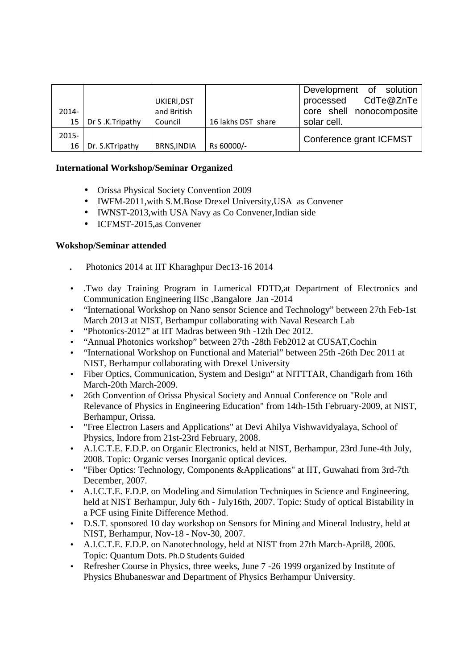| $2014 -$<br>15 | Dr S.K.Tripathy | UKIERI, DST<br>and British<br>Council | 16 lakhs DST share | Development of solution<br>processed CdTe@ZnTe<br>core shell nonocomposite<br>solar cell. |
|----------------|-----------------|---------------------------------------|--------------------|-------------------------------------------------------------------------------------------|
| $2015 -$<br>16 | Dr. S.KTripathy | <b>BRNS, INDIA</b>                    | Rs 60000/-         | Conference grant ICFMST                                                                   |

# **International Workshop/Seminar Organized**

- Orissa Physical Society Convention 2009
- IWFM-2011,with S.M.Bose Drexel University,USA as Convener
- IWNST-2013,with USA Navy as Co Convener,Indian side
- ICFMST-2015.as Convener

### **Wokshop/Seminar attended**

- Photonics 2014 at IIT Kharaghpur Dec13-16 2014
- .Two day Training Program in Lumerical FDTD,at Department of Electronics and Communication Engineering IISc ,Bangalore Jan -2014
- "International Workshop on Nano sensor Science and Technology" between 27th Feb-1st March 2013 at NIST, Berhampur collaborating with Naval Research Lab
- "Photonics-2012" at IIT Madras between 9th -12th Dec 2012.
- "Annual Photonics workshop" between 27th -28th Feb2012 at CUSAT,Cochin
- "International Workshop on Functional and Material" between 25th -26th Dec 2011 at NIST, Berhampur collaborating with Drexel University
- Fiber Optics, Communication, System and Design" at NITTTAR, Chandigarh from 16th March-20th March-2009.
- 26th Convention of Orissa Physical Society and Annual Conference on "Role and Relevance of Physics in Engineering Education" from 14th-15th February-2009, at NIST, Berhampur, Orissa.
- "Free Electron Lasers and Applications" at Devi Ahilya Vishwavidyalaya, School of Physics, Indore from 21st-23rd February, 2008.
- A.I.C.T.E. F.D.P. on Organic Electronics, held at NIST, Berhampur, 23rd June-4th July, 2008. Topic: Organic verses Inorganic optical devices.
- "Fiber Optics: Technology, Components &Applications" at IIT, Guwahati from 3rd-7th December, 2007.
- A.I.C.T.E. F.D.P. on Modeling and Simulation Techniques in Science and Engineering, held at NIST Berhampur, July 6th - July16th, 2007. Topic: Study of optical Bistability in a PCF using Finite Difference Method.
- D.S.T. sponsored 10 day workshop on Sensors for Mining and Mineral Industry, held at NIST, Berhampur, Nov-18 - Nov-30, 2007.
- A.I.C.T.E. F.D.P. on Nanotechnology, held at NIST from 27th March-April8, 2006. Topic: Quantum Dots. Ph.D Students Guided
- Refresher Course in Physics, three weeks, June 7 -26 1999 organized by Institute of Physics Bhubaneswar and Department of Physics Berhampur University.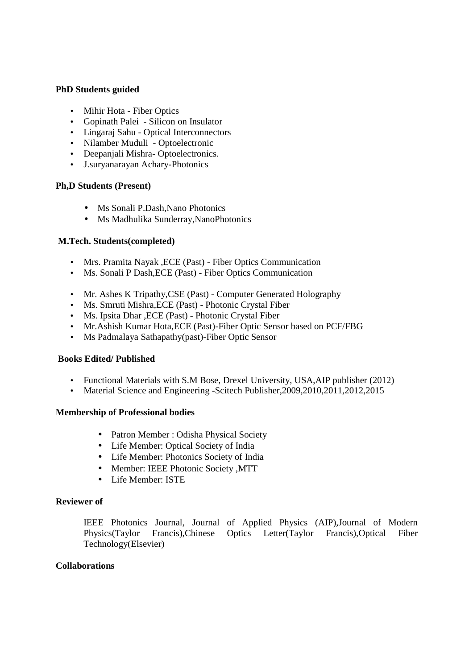### **PhD Students guided**

- Mihir Hota Fiber Optics
- Gopinath Palei Silicon on Insulator
- Lingaraj Sahu Optical Interconnectors
- Nilamber Muduli Optoelectronic
- Deepanjali Mishra- Optoelectronics.
- J.suryanarayan Achary-Photonics

### **Ph,D Students (Present)**

- Ms Sonali P.Dash, Nano Photonics
- Ms Madhulika Sunderray,NanoPhotonics

### **M.Tech. Students(completed)**

- Mrs. Pramita Nayak ,ECE (Past) Fiber Optics Communication
- Ms. Sonali P Dash,ECE (Past) Fiber Optics Communication
- Mr. Ashes K Tripathy, CSE (Past) Computer Generated Holography
- Ms. Smruti Mishra,ECE (Past) Photonic Crystal Fiber
- Ms. Ipsita Dhar ,ECE (Past) Photonic Crystal Fiber
- Mr.Ashish Kumar Hota,ECE (Past)-Fiber Optic Sensor based on PCF/FBG
- Ms Padmalaya Sathapathy(past)-Fiber Optic Sensor

### **Books Edited/ Published**

- Functional Materials with S.M Bose, Drexel University, USA, AIP publisher (2012)
- Material Science and Engineering -Scitech Publisher,2009,2010,2011,2012,2015

### **Membership of Professional bodies**

- Patron Member : Odisha Physical Society
- Life Member: Optical Society of India
- Life Member: Photonics Society of India
- Member: IEEE Photonic Society ,MTT
- Life Member: ISTE

### **Reviewer of**

IEEE Photonics Journal, Journal of Applied Physics (AIP),Journal of Modern Physics(Taylor Francis),Chinese Optics Letter(Taylor Francis),Optical Fiber Technology(Elsevier)

### **Collaborations**